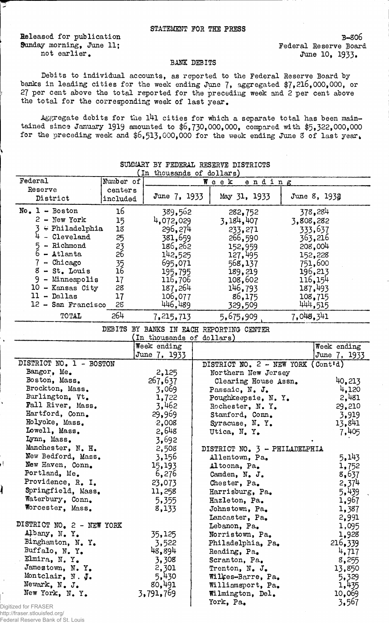Released for publication B-806 Sunday morning, June 11; The Sunday morning, June 11; Federal Reserve Board

ಾ

not earlier.<br>
June 10, 1933.

## BANK DEBITS

Debits to individual accounts, as reported to the Federal Reserve Board by banks in leading cities for the week ending June 7, aggregated \$7,216,000,000, or 27 per cent above the total reported for the preceding week and 2 per cent above the total for the corresponding week of last year.

•Aggregate debits for the l4l cities for which a separate total has been maintained since January 1919 amounted to \$6,730,000,000, compared with \$5,322,000,000 for the preceding week and  $$6,513,000,000$  for the week ending June 3 of last year.

| Federal                   | Number of | .<br>monsemes of mollers) | ending<br>Week                           |           |                |
|---------------------------|-----------|---------------------------|------------------------------------------|-----------|----------------|
| Reserve                   | centers   |                           |                                          |           |                |
| District                  | included  | June 7, 1933              | May 31, 1933                             |           | June 8, 1933   |
| $No. 1 - Boston$          | 16        | 389,562                   | 282,752                                  |           | 378,284        |
| $2 -$ New York            | 15        | 4,072,029                 | 3,184,407                                | 3,808,282 |                |
| $\div$ Philadelphia       | 18        | 296,274                   | 233,271                                  |           | 333,637        |
| $4$ - Cleveland           | 25        | 381,659                   | 266,590                                  |           | 363,216        |
| - Richmond<br>5.          | 23        | 186,262                   | 152,959                                  |           | 208,004        |
| $6 -$ Atlanta             | 26        | 142,525                   | 127,495                                  |           | 152,228        |
| $7^{\circ}$<br>- Chicago  |           | 695,071                   | 568,137                                  |           | 751,600        |
| $8 - St$ . Louis          | 35<br>16  | 195,795                   | 189,219                                  |           | 196,213        |
| $9 -$ Minneapolis         | 17        | 116,706                   | 108,602                                  |           | 116,154        |
| $10$ - Kansas City        | 28        | 187,264                   | 146,793                                  |           | 187,493        |
| $11 - Dallas$             | 17        | 106,077                   | 86,175                                   |           | 108,715        |
| 12 - San Francisco        | 28        | 446,489                   |                                          |           | 444,515        |
| TOTAL                     | 264       | 7, 215, 713               | 329,509<br>5,675,909                     | 7,048,341 |                |
|                           |           |                           | DEBITS BY BANKS IN EACH REPORTING CENTER |           |                |
|                           |           | In thousands of dollars)  |                                          |           |                |
|                           |           | Week ending               |                                          |           | Week ending    |
|                           |           | June 7, 1933              |                                          |           | June 7, 1933   |
| DISTRICT NO. 1 - BOSTON   |           |                           | DISTRICT NO. $2$ - NEW YORK (Cont'd)     |           |                |
| Bangor, Me.               |           | 2,125                     | Northern New Jersey                      |           |                |
| Boston, Mass.             |           | 267,637                   | Clearing House Assn.                     |           | 40,213         |
| Brockton, Mass.           |           | 3,069                     | Passaic, N. J.                           |           | 4,120          |
| Burlington, Vt.           |           | 1,722                     | Poughkeepsie, N. Y.                      |           | 2,481          |
| Fall River, Mass.         |           | 3,462                     | Rochester, N.Y.                          |           | 29,210         |
| Hartford, Conn.           |           | 29,969                    | Stamford, Conn.                          |           | 3,919          |
| Holyoke, Mass.            |           | $-2,008$                  | Syracuse, N.Y.                           |           | 13,841         |
| Lowell, Mass.             |           | 2,648                     | Utica, N.Y.                              |           | 7,405          |
| Lynn, Mass.               |           | 3,692                     |                                          |           |                |
| Manchester, N. H.         |           | 2,508                     | DISTRICT NO. 3 - PHILADELPHIA            |           |                |
| New Bedford, Mass.        |           | 3,156                     | Allentown, Pa.                           |           | 5,143          |
| New Haven, Conn.          |           | 15,193                    | Altoona, Pa.                             |           | 1,752          |
| Portland, Me.             |           | 6,276                     | Camden, N. J.                            |           | 8,637          |
| Providence, R. I.         |           | 23,073                    | Chester, Pa.                             |           | 2,374          |
| Springfield, Mass.        |           | 11,258                    | Harrisburg, Pa.                          |           | 5,439          |
| Waterbury, Conn.          |           | 5,355                     | Hazleton, Pa.                            |           | 1,967          |
| Worcester, Mass.          |           | 8,133                     | Johnstown, Pa.                           |           | 1,387          |
|                           |           |                           | Lancaster, Pa.                           |           | 2,991          |
| DISTRICT NO. 2 - NEW YORK |           |                           | Lebanon, Pa.                             |           | 1,095          |
| Albany, N.Y.              |           | 35,125                    | Norristown, Pa.                          |           | 1,928          |
| Binghamton, N. Y.         |           | 3,522                     | Philadelphia, Pa.                        |           | 216,339        |
| Buffalo, N.Y.             |           | 48,894                    | Reading, Pa.                             |           | 4,717          |
| Elmira, N.Y.              |           | 3,308                     | Scranton, Pa.                            |           | 8,255          |
| Jamestown, N.Y.           |           | 2,301                     | Trenton, N. J.                           |           | 13,850         |
| Montclair, N. J.          |           | 5,430                     | Wilkes-Barre, Pa.                        |           |                |
| Newark, N. J.             |           | 80,491                    | Williamsport, Pa.                        |           | 5,329<br>1,435 |
| New York, N.Y.            |           | 3,791,769                 | Wilmington, Del.                         |           | 10,069         |
|                           |           |                           | York, Pa.                                |           |                |
| ized for FRASER           |           |                           |                                          |           | 3,567          |

## SUMMARY BY FEDERAL RESERVE DISTRICTS (In thousands of dollars)

Digiti http://fraser.stlouisfed.org/ Federal Reserve Bank of St. Louis

ı,

Ì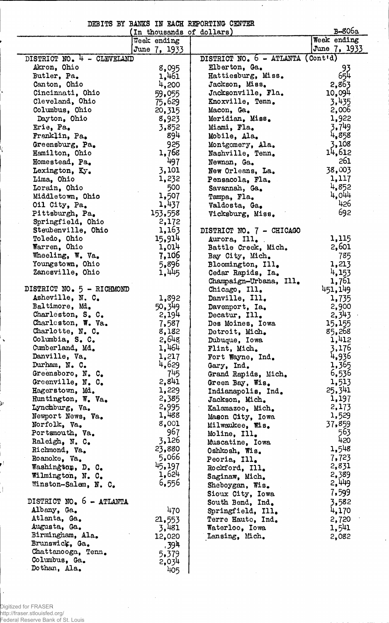DEBITS BY BAMS IN EACH REPORTING CENTER

 $\ddot{\phantom{0}}$ 

|                                     | In thousands of dollars) |                                   | <b>B-806a</b>   |
|-------------------------------------|--------------------------|-----------------------------------|-----------------|
|                                     | Week ending              |                                   | Week ending     |
|                                     | June 7, 1933             |                                   | June 7, 1933    |
| DISTRICT NO. 4 - CLEVELAND          |                          | DISTRICT NO. 6 - ATLANTA (Cont'd) |                 |
| Akron, Ohio                         | 8,095                    | Elberton, Ga.                     |                 |
| Butler, Pa.                         | 1,461                    | Hattiesburg, Miss.                | 93<br>654       |
| Canton, Ohio                        | 4,200                    | Jackson, Miss.                    | 2,863           |
| Cincinnati, Ohio                    | 59,055                   | Jacksonville, Fla.                | 10,094          |
| Cleveland, Ohio                     | 75,629                   | Knoxville, Tenn.                  | 3,435           |
| Columbus, Ohio                      | 20,315                   | Macon, Ga.                        | 2,006           |
| Dayton, Ohio                        | 8,923                    | Meridian, Miss.                   | 1,922           |
| Erie, Pa.                           | 3,852                    | Miami, Fla.                       | 3.749           |
| Franklin, Pa.                       | 894                      | Mobile, Ala.                      | 4,858           |
| Greensburg, Pa.                     | 925                      | Montgomery, Ala.                  | 3,108           |
| Hamilton, Ohio                      | 1,768                    | Nashville, Tenn.                  | 14,612          |
| Homestead, Pa.                      | 497                      | Newnan, Ga.                       | 261             |
| Lexington, Ky.                      | 3,101                    | New Orleans, La.                  | 38,003          |
| Lima, Ohio                          | 1,232                    | Pensacola, Fla.                   | 1,117           |
| Lorain, Ohio                        | 500                      | Savannah, Ga.                     | 4,852           |
| Middletown, Ohio                    | 1,507                    |                                   | 4,044           |
| Oil City, Pa.                       | 1,437                    | Tampa, Fla.                       | 426             |
|                                     |                          | Valdosta, Ga.                     | 692             |
| Pittsburgh, Pa.                     | 153,558                  | Vicksburg, Miss.                  |                 |
| Springfield, Ohio                   | 2,172                    |                                   |                 |
| Steubenville, Ohio                  | 1,163                    | DISTRICT NO. 7 - CHICAGO          |                 |
| Toledo, Ohio                        | 15,914                   | Aurora, Ill.                      | 1,115           |
| Warren, Ohio                        | 1,014                    | Battle Creek, Mich.               | 2,601           |
| Wheeling, W. Va.                    | 7,106                    | Bay City, Mich.                   | 785             |
| Youngstown, Ohio                    | 5,896                    | Bloomington, Ill.                 | 1,213           |
| Zanesville, Ohio                    | 1,445                    | Cedar Rapids, Ia.                 | 4,153           |
|                                     |                          | Champaign-Urbana, Ill.            | 1,761           |
| DISTRICT NO. 5 - RICHMOND           |                          | Chicago, Ill.                     | 451,149         |
| Asheville, N. C.                    | 1,892                    | Danville, Ill.                    | 1,735           |
| Baltimore, Md.                      | 50,349                   | Davenport, Ia.                    | 2,900           |
| Charleston, S. C.                   | 2,194                    | Decatur, Ill.                     | 2,343           |
| Charleston, W. Va.                  | 7,587                    | Des Moines, Iowa                  | 15,155          |
| Charlotte, N. C.<br>Columbia, S. C. | 8,182<br>2,648           | Detroit, Mich.                    | 85,268<br>1,412 |
| Cumberland, Md.                     |                          | Dubuque, Iowa                     |                 |
| Danville, Va.                       | 1,464                    | Flint, Mich.                      | 3,176           |
| Durham, N. C.                       | 1,217<br>4,629           | Fort Wayne, Ind.                  | 4,936           |
|                                     | 745                      | Gary, Ind.                        | 1,365           |
| Greensboro, N. C.                   | 2,841                    | Grand Rapids, Mich.               | 6,536           |
| Greenville, N. C.                   |                          | Green Bay, Wis.                   | 1,513           |
| Hagerstown, Md.                     | 1,229                    | Indianapolis, Ind.                | 25,341          |
| Huntington, W. Va.                  | 2,385                    | Jackson, Mich.                    | 1,197           |
| Lynchburg, Va.                      | 2,995<br>1,488           | Kalamazoo, Mich.                  | 2,173           |
| Newport News, Va.                   | 8,001                    | Mason City, Iowa                  | 1,529           |
| Norfolk, Va.                        | 967                      | Milwaukee, Wis.                   | 37,859<br>563   |
| Portsmouth, Va.                     | 3,126                    | Moline, Ill.                      | 420             |
| Raleigh, N. C.                      | 23,880                   | Muscatine, Iowa                   | 1,548           |
| Richmond, Va.                       | 5,066                    | Oshkosh, Wis.                     |                 |
| Roanoke, Va.                        | 45,197                   | Peoria, Ill.                      | 7,723           |
| Washington, D. C.                   | 1,624                    | Rockford, Ill.                    | 2,831           |
| Wilmington, N. C.                   |                          | Saginaw, Mich.                    | 2,389           |
| Winston-Salem, N. C.                | 6,556                    | Sheboygan, Wis.                   | 2,449           |
|                                     |                          | Sioux City, Iowa                  | 7,599           |
| DISTRICT NO. 6 - ATLANTA            |                          | South Bend, Ind.                  | 3,582           |
| Albany, Ga.                         | 470                      | Springfield, Ill.                 | 4,170           |
| Atlanta, Ga.                        | 21,553                   | Terre Haute, Ind.                 | 2,720           |
| Augusta, Ga.                        | 3,481                    | Waterloo, Iowa                    | 1,541           |
| Birmingham, Ala.                    | 12,020                   | Lansing, Mich.                    | 2,082           |
| Brunswick, Ga.                      | , 394                    |                                   |                 |
| Chattanooga, Tenn.                  | 5,379                    |                                   |                 |
| Columbus, Ga.                       | 2,034                    |                                   |                 |
| Dothan, Ala.                        | 405                      |                                   |                 |

Digitized for FRASER http://fraser.stlouisfed.org/ Federal Reserve Bank of St. Louis

Iţ.

Þ

 $\mathcal{I}$ 

 $\cdot$